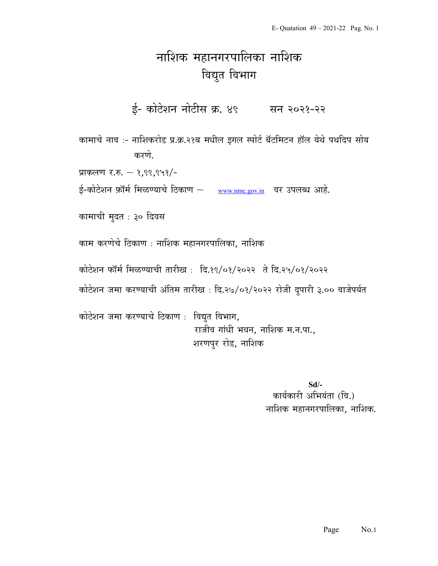## नाशिक महानगरपालिका नाशिक विद्युत विभाग

ई- कोटेशन नोटीस क्र. ४९ सन २०२१-२२

कामाचे नाव :- नाशिकरोड प्र.क्र.२१ब मधील इगल स्पोर्ट बॅटमिटन हॉल येथे पथदिप सोय करणे.

प्राकलण र.रु.  $-$  १,९९,९५१/-

ई-कोटेशन फ़ॉर्म मिळण्याचे ठिकाण – www.nmc.gov.in वर उपलब्ध आहे.

कामाची मुदत : ३० दिवस

काम करणेचे ठिकाण : नाशिक महानगरपालिका, नाशिक

कोटेशन फॉर्म मिळण्याची तारीख: दि.१९/०१/२०२२ ते दि.२५/०१/२०२२

कोटेशन जमा करण्याची अंतिम तारीख : दि.२७/०१/२०२२ रोजी दुपारी ३.०० वाजेपर्यत

कोटेशन जमा करण्याचे ठिकाण : विद्युत विभाग, राजीव गांधी भवन, नाशिक म.न.पा., शरणपुर रोड, नाशिक

> Sd/- कार्यकारी अभियंता (वि.) नाशिक महानगरपालिका, नाशिक.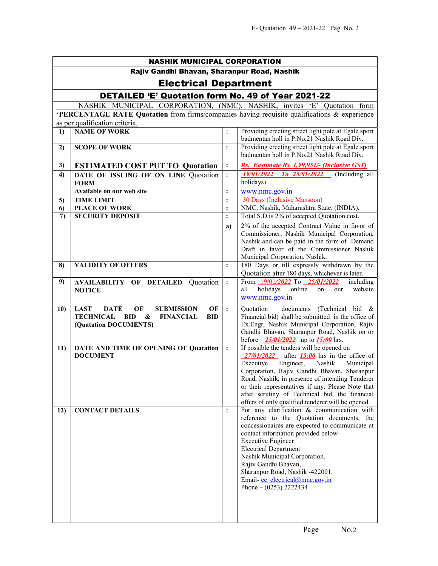| <b>NASHIK MUNICIPAL CORPORATION</b>                       |                                                                                                                                                                     |                                  |                                                                                                                                                                                                                                                                                                                                                                                                             |  |  |
|-----------------------------------------------------------|---------------------------------------------------------------------------------------------------------------------------------------------------------------------|----------------------------------|-------------------------------------------------------------------------------------------------------------------------------------------------------------------------------------------------------------------------------------------------------------------------------------------------------------------------------------------------------------------------------------------------------------|--|--|
| Rajiv Gandhi Bhavan, Sharanpur Road, Nashik               |                                                                                                                                                                     |                                  |                                                                                                                                                                                                                                                                                                                                                                                                             |  |  |
| <b>Electrical Department</b>                              |                                                                                                                                                                     |                                  |                                                                                                                                                                                                                                                                                                                                                                                                             |  |  |
| <b>DETAILED 'E' Quotation form No. 49 of Year 2021-22</b> |                                                                                                                                                                     |                                  |                                                                                                                                                                                                                                                                                                                                                                                                             |  |  |
|                                                           | NASHIK MUNICIPAL CORPORATION, (NMC), NASHIK, invites 'E' Quotation form                                                                                             |                                  |                                                                                                                                                                                                                                                                                                                                                                                                             |  |  |
|                                                           | 'PERCENTAGE RATE Quotation from firms/companies having requisite qualifications & experience                                                                        |                                  |                                                                                                                                                                                                                                                                                                                                                                                                             |  |  |
|                                                           | as per qualification criteria.                                                                                                                                      |                                  |                                                                                                                                                                                                                                                                                                                                                                                                             |  |  |
| $\bf{1}$                                                  | <b>NAME OF WORK</b>                                                                                                                                                 | $\ddot{\cdot}$                   | Providing erecting street light pole at Egale sport<br>badmentan holl in P.No.21 Nashik Road Div.                                                                                                                                                                                                                                                                                                           |  |  |
| 2)                                                        | <b>SCOPE OF WORK</b>                                                                                                                                                | :                                | Providing erecting street light pole at Egale sport                                                                                                                                                                                                                                                                                                                                                         |  |  |
|                                                           |                                                                                                                                                                     |                                  | badmentan holl in P.No.21 Nashik Road Div.                                                                                                                                                                                                                                                                                                                                                                  |  |  |
| 3)                                                        | <b>ESTIMATED COST PUT TO Quotation</b>                                                                                                                              | $\ddot{\cdot}$                   | Rs. Eastimate Rs. 1,99,951/- (Inclusive GST)                                                                                                                                                                                                                                                                                                                                                                |  |  |
| 4)                                                        | DATE OF ISSUING OF ON LINE Quotation<br><b>FORM</b>                                                                                                                 | $\ddot{\cdot}$                   | $To$ 25/01/2022 (Including all<br>19/01/2022<br>holidays)                                                                                                                                                                                                                                                                                                                                                   |  |  |
|                                                           | Available on our web site                                                                                                                                           | $\ddot{\cdot}$                   | www.nmc.gov.in                                                                                                                                                                                                                                                                                                                                                                                              |  |  |
| 5)                                                        | <b>TIME LIMIT</b>                                                                                                                                                   | $\ddot{\cdot}$                   | 30 Days (Inclusive Mansoon)                                                                                                                                                                                                                                                                                                                                                                                 |  |  |
| 6)<br>$\mathcal{L}$                                       | <b>PLACE OF WORK</b><br><b>SECURITY DEPOSIT</b>                                                                                                                     | $\ddot{\cdot}$<br>$\ddot{\cdot}$ | NMC, Nashik, Maharashtra State, (INDIA).<br>Total S.D is 2% of accepted Quotation cost.                                                                                                                                                                                                                                                                                                                     |  |  |
|                                                           |                                                                                                                                                                     |                                  |                                                                                                                                                                                                                                                                                                                                                                                                             |  |  |
|                                                           |                                                                                                                                                                     | a)                               | 2% of the accepted Contract Value in favor of<br>Commissioner, Nashik Municipal Corporation,<br>Nashik and can be paid in the form of Demand<br>Draft in favor of the Commissioner Nashik<br>Municipal Corporation. Nashik.                                                                                                                                                                                 |  |  |
| 8)                                                        | <b>VALIDITY OF OFFERS</b>                                                                                                                                           | $\ddot{\cdot}$                   | 180 Days or till expressly withdrawn by the<br>Quotation after 180 days, whichever is later.                                                                                                                                                                                                                                                                                                                |  |  |
| 9)                                                        | <b>AVAILABILITY OF DETAILED Quotation</b><br><b>NOTICE</b>                                                                                                          | $\ddot{\cdot}$                   | From 19/01/2022 To 25/01/2022<br>including<br>holidays<br>online<br>website<br>all<br>on<br>our<br>www.nmc.gov.in                                                                                                                                                                                                                                                                                           |  |  |
| 10)                                                       | <b>SUBMISSION</b><br><b>LAST</b><br><b>DATE</b><br>OF<br>OF<br><b>TECHNICAL BID</b><br>$\boldsymbol{\&}$<br><b>FINANCIAL</b><br><b>BID</b><br>(Quatation DOCUMENTS) | $\ddot{\cdot}$                   | documents (Technical bid &<br>Quotation<br>Financial bid) shall be submitted in the office of<br>Ex.Engr, Nashik Municipal Corporation, Rajiv<br>Gandhi Bhavan, Sharanpur Road, Nashik on or<br>before $\frac{25}{01}{2022}$ up to $\frac{15:00}{2}$ hrs.                                                                                                                                                   |  |  |
| 11)                                                       | DATE AND TIME OF OPENING OF Quatation<br><b>DOCUMENT</b>                                                                                                            | $\ddot{\cdot}$                   | If possible the tenders will be opened on<br>$27/01/2022$ after $15:00$ hrs in the office of<br>Executive<br>Engineer,<br>Nashik<br>Municipal<br>Corporation, Rajiv Gandhi Bhavan, Sharanpur<br>Road, Nashik, in presence of intending Tenderer<br>or their representatives if any. Please Note that<br>after scrutiny of Technical bid, the financial<br>offers of only qualified tenderer will be opened. |  |  |
| 12)                                                       | <b>CONTACT DETAILS</b>                                                                                                                                              | $\ddot{\cdot}$                   | For any clarification & communication with<br>reference to the Quotation documents, the<br>concessionaires are expected to communicate at<br>contact information provided below-<br><b>Executive Engineer</b><br><b>Electrical Department</b><br>Nashik Municipal Corporation,<br>Rajiv Gandhi Bhavan,<br>Sharanpur Road, Nashik -422001.<br>Email-ee electrical@nmc.gov.in<br>Phone $- (0253)$ 2222434     |  |  |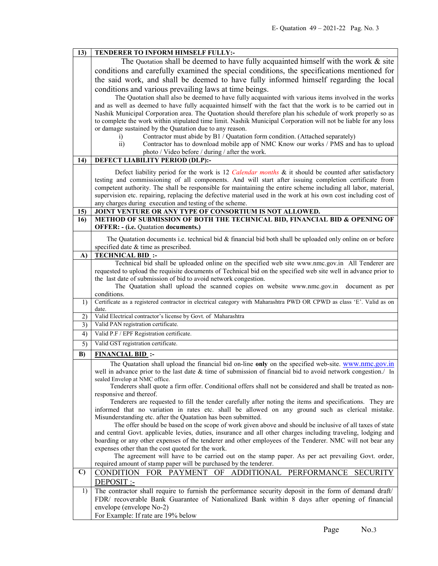| 13)          | TENDERER TO INFORM HIMSELF FULLY:-                                                                                                                                                                            |  |  |
|--------------|---------------------------------------------------------------------------------------------------------------------------------------------------------------------------------------------------------------|--|--|
|              | The Quotation shall be deemed to have fully acquainted himself with the work $\&$ site                                                                                                                        |  |  |
|              | conditions and carefully examined the special conditions, the specifications mentioned for                                                                                                                    |  |  |
|              | the said work, and shall be deemed to have fully informed himself regarding the local                                                                                                                         |  |  |
|              | conditions and various prevailing laws at time beings.                                                                                                                                                        |  |  |
|              | The Quotation shall also be deemed to have fully acquainted with various items involved in the works                                                                                                          |  |  |
|              | and as well as deemed to have fully acquainted himself with the fact that the work is to be carried out in                                                                                                    |  |  |
|              | Nashik Municipal Corporation area. The Quotation should therefore plan his schedule of work properly so as                                                                                                    |  |  |
|              | to complete the work within stipulated time limit. Nashik Municipal Corporation will not be liable for any loss                                                                                               |  |  |
|              | or damage sustained by the Quatation due to any reason.                                                                                                                                                       |  |  |
|              | Contractor must abide by B1 / Quatation form condition. (Attached separately)<br>i)                                                                                                                           |  |  |
|              | $\overline{ii}$ )<br>Contractor has to download mobile app of NMC Know our works / PMS and has to upload                                                                                                      |  |  |
|              | photo / Video before / during / after the work.                                                                                                                                                               |  |  |
| 14)          | DEFECT LIABILITY PERIOD (DLP):-                                                                                                                                                                               |  |  |
|              | Defect liability period for the work is 12 Calendar months & it should be counted after satisfactory                                                                                                          |  |  |
|              | testing and commissioning of all components. And will start after issuing completion certificate from                                                                                                         |  |  |
|              | competent authority. The shall be responsible for maintaining the entire scheme including all labor, material,                                                                                                |  |  |
|              | supervision etc. repairing, replacing the defective material used in the work at his own cost including cost of                                                                                               |  |  |
| 15)          | any charges during execution and testing of the scheme.<br>JOINT VENTURE OR ANY TYPE OF CONSORTIUM IS NOT ALLOWED.                                                                                            |  |  |
| 16)          | METHOD OF SUBMISSION OF BOTH THE TECHNICAL BID, FINANCIAL BID & OPENING OF                                                                                                                                    |  |  |
|              | <b>OFFER: - (i.e. Quatation documents.)</b>                                                                                                                                                                   |  |  |
|              | The Quatation documents i.e. technical bid $\&$ financial bid both shall be uploaded only online on or before                                                                                                 |  |  |
|              | specified date & time as prescribed.                                                                                                                                                                          |  |  |
| A)           | <b>TECHNICAL BID:</b>                                                                                                                                                                                         |  |  |
|              | Technical bid shall be uploaded online on the specified web site www.nmc.gov.in All Tenderer are                                                                                                              |  |  |
|              | requested to upload the requisite documents of Technical bid on the specified web site well in advance prior to                                                                                               |  |  |
|              | the last date of submission of bid to avoid network congestion.                                                                                                                                               |  |  |
|              | The Quatation shall upload the scanned copies on website www.nmc.gov.in document as per                                                                                                                       |  |  |
| 1)           | conditions.<br>Certificate as a registered contractor in electrical category with Maharashtra PWD OR CPWD as class 'E'. Valid as on                                                                           |  |  |
|              | date.                                                                                                                                                                                                         |  |  |
| 2)           | Valid Electrical contractor's license by Govt. of Maharashtra                                                                                                                                                 |  |  |
| 3)           | Valid PAN registration certificate.                                                                                                                                                                           |  |  |
| 4)           | Valid P.F / EPF Registration certificate.                                                                                                                                                                     |  |  |
| 5)           | Valid GST registration certificate.                                                                                                                                                                           |  |  |
| B)           |                                                                                                                                                                                                               |  |  |
|              | <b>FINANCIAL BID:</b>                                                                                                                                                                                         |  |  |
|              | The Quatation shall upload the financial bid on-line only on the specified web-site. www.nmc.gov.in                                                                                                           |  |  |
|              | well in advance prior to the last date & time of submission of financial bid to avoid network congestion./ In                                                                                                 |  |  |
|              | sealed Envelop at NMC office.                                                                                                                                                                                 |  |  |
|              | Tenderers shall quote a firm offer. Conditional offers shall not be considered and shall be treated as non-                                                                                                   |  |  |
|              | responsive and thereof.                                                                                                                                                                                       |  |  |
|              | Tenderers are requested to fill the tender carefully after noting the items and specifications. They are<br>informed that no variation in rates etc. shall be allowed on any ground such as clerical mistake. |  |  |
|              | Misunderstanding etc. after the Quatation has been submitted.                                                                                                                                                 |  |  |
|              | The offer should be based on the scope of work given above and should be inclusive of all taxes of state                                                                                                      |  |  |
|              | and central Govt. applicable levies, duties, insurance and all other charges including traveling, lodging and                                                                                                 |  |  |
|              | boarding or any other expenses of the tenderer and other employees of the Tenderer. NMC will not bear any                                                                                                     |  |  |
|              | expenses other than the cost quoted for the work.                                                                                                                                                             |  |  |
|              | The agreement will have to be carried out on the stamp paper. As per act prevailing Govt. order,                                                                                                              |  |  |
| $\mathbf{C}$ | required amount of stamp paper will be purchased by the tenderer.<br>CONDITION FOR PAYMENT<br>ADDITIONAL PERFORMANCE<br>OF<br><b>SECURITY</b>                                                                 |  |  |
|              | DEPOSIT :-                                                                                                                                                                                                    |  |  |
| 1)           | The contractor shall require to furnish the performance security deposit in the form of demand draft/                                                                                                         |  |  |
|              | FDR/ recoverable Bank Guarantee of Nationalized Bank within 8 days after opening of financial                                                                                                                 |  |  |
|              | envelope (envelope No-2)<br>For Example: If rate are 19% below                                                                                                                                                |  |  |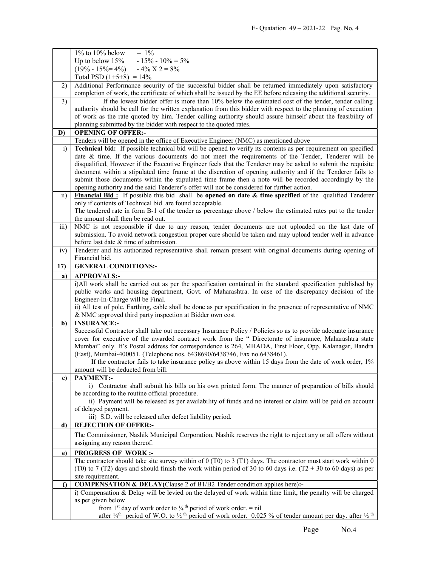|                 | $1\%$ to $10\%$ below<br>$-1\%$                                                                                                                                                                                                                                                  |
|-----------------|----------------------------------------------------------------------------------------------------------------------------------------------------------------------------------------------------------------------------------------------------------------------------------|
|                 | $-15\% - 10\% = 5\%$<br>Up to below $15%$                                                                                                                                                                                                                                        |
|                 | $(19\% - 15\% = 4\%)$ $-4\%$ $X$ 2 = 8%                                                                                                                                                                                                                                          |
|                 | Total PSD $(1+5+8) = 14\%$                                                                                                                                                                                                                                                       |
| 2)              | Additional Performance security of the successful bidder shall be returned immediately upon satisfactory                                                                                                                                                                         |
|                 | completion of work, the certificate of which shall be issued by the EE before releasing the additional security.                                                                                                                                                                 |
| 3)              | If the lowest bidder offer is more than 10% below the estimated cost of the tender, tender calling                                                                                                                                                                               |
|                 | authority should be call for the written explanation from this bidder with respect to the planning of execution                                                                                                                                                                  |
|                 | of work as the rate quoted by him. Tender calling authority should assure himself about the feasibility of                                                                                                                                                                       |
|                 | planning submitted by the bidder with respect to the quoted rates.                                                                                                                                                                                                               |
| D)              | <b>OPENING OF OFFER:-</b>                                                                                                                                                                                                                                                        |
|                 | Tenders will be opened in the office of Executive Engineer (NMC) as mentioned above                                                                                                                                                                                              |
| $\ddot{1}$      | <b>Technical bid:</b> If possible technical bid will be opened to verify its contents as per requirement on specified                                                                                                                                                            |
|                 | date & time. If the various documents do not meet the requirements of the Tender, Tenderer will be                                                                                                                                                                               |
|                 | disqualified, However if the Executive Engineer feels that the Tenderer may be asked to submit the requisite                                                                                                                                                                     |
|                 | document within a stipulated time frame at the discretion of opening authority and if the Tenderer fails to                                                                                                                                                                      |
|                 | submit those documents within the stipulated time frame then a note will be recorded accordingly by the                                                                                                                                                                          |
|                 | opening authority and the said Tenderer's offer will not be considered for further action.                                                                                                                                                                                       |
| $\overline{11}$ | Financial Bid: If possible this bid shall be opened on date $\&$ time specified of the qualified Tenderer                                                                                                                                                                        |
|                 | only if contents of Technical bid are found acceptable.                                                                                                                                                                                                                          |
|                 | The tendered rate in form B-1 of the tender as percentage above / below the estimated rates put to the tender                                                                                                                                                                    |
|                 | the amount shall then be read out.                                                                                                                                                                                                                                               |
| iii)            | NMC is not responsible if due to any reason, tender documents are not uploaded on the last date of                                                                                                                                                                               |
|                 | submission. To avoid network congestion proper care should be taken and may upload tender well in advance                                                                                                                                                                        |
|                 | before last date & time of submission.                                                                                                                                                                                                                                           |
| iv)             | Tenderer and his authorized representative shall remain present with original documents during opening of                                                                                                                                                                        |
|                 | Financial bid.                                                                                                                                                                                                                                                                   |
| 17)             | <b>GENERAL CONDITIONS:-</b>                                                                                                                                                                                                                                                      |
| a)              | <b>APPROVALS:-</b>                                                                                                                                                                                                                                                               |
|                 | i)All work shall be carried out as per the specification contained in the standard specification published by                                                                                                                                                                    |
|                 |                                                                                                                                                                                                                                                                                  |
|                 |                                                                                                                                                                                                                                                                                  |
|                 | public works and housing department, Govt. of Maharashtra. In case of the discrepancy decision of the                                                                                                                                                                            |
|                 | Engineer-In-Charge will be Final.                                                                                                                                                                                                                                                |
|                 | ii) All test of pole, Earthing, cable shall be done as per specification in the presence of representative of NMC<br>& NMC approved third party inspection at Bidder own cost                                                                                                    |
| b)              | <b>INSURANCE:-</b>                                                                                                                                                                                                                                                               |
|                 | Successful Contractor shall take out necessary Insurance Policy / Policies so as to provide adequate insurance                                                                                                                                                                   |
|                 | cover for executive of the awarded contract work from the " Directorate of insurance, Maharashtra state                                                                                                                                                                          |
|                 | Mumbai" only. It's Postal address for correspondence is 264, MHADA, First Floor, Opp. Kalanagar, Bandra                                                                                                                                                                          |
|                 | (East), Mumbai-400051. (Telephone nos. 6438690/6438746, Fax no.6438461).                                                                                                                                                                                                         |
|                 | If the contractor fails to take insurance policy as above within 15 days from the date of work order, 1%                                                                                                                                                                         |
|                 | amount will be deducted from bill.                                                                                                                                                                                                                                               |
| c)              | <b>PAYMENT:-</b>                                                                                                                                                                                                                                                                 |
|                 | i) Contractor shall submit his bills on his own printed form. The manner of preparation of bills should                                                                                                                                                                          |
|                 | be according to the routine official procedure.                                                                                                                                                                                                                                  |
|                 | ii) Payment will be released as per availability of funds and no interest or claim will be paid on account                                                                                                                                                                       |
|                 | of delayed payment.                                                                                                                                                                                                                                                              |
|                 | iii) S.D. will be released after defect liability period.                                                                                                                                                                                                                        |
| d)              | <b>REJECTION OF OFFER:-</b>                                                                                                                                                                                                                                                      |
|                 | The Commissioner, Nashik Municipal Corporation, Nashik reserves the right to reject any or all offers without                                                                                                                                                                    |
|                 | assigning any reason thereof.                                                                                                                                                                                                                                                    |
| e)              | <b>PROGRESS OF WORK:-</b>                                                                                                                                                                                                                                                        |
|                 | The contractor should take site survey within of $0$ (T0) to $3$ (T1) days. The contractor must start work within $0$                                                                                                                                                            |
|                 | (T0) to 7 (T2) days and should finish the work within period of 30 to 60 days i.e. (T2 + 30 to 60 days) as per                                                                                                                                                                   |
|                 | site requirement.                                                                                                                                                                                                                                                                |
| $\mathbf{f}$    | COMPENSATION & DELAY(Clause 2 of B1/B2 Tender condition applies here):-                                                                                                                                                                                                          |
|                 | i) Compensation & Delay will be levied on the delayed of work within time limit, the penalty will be charged                                                                                                                                                                     |
|                 | as per given below                                                                                                                                                                                                                                                               |
|                 | from 1 <sup>st</sup> day of work order to $\frac{1}{4}$ <sup>th</sup> period of work order. = nil<br>after $\frac{1}{4}$ <sup>th</sup> period of W.O. to $\frac{1}{2}$ <sup>th</sup> period of work order. = 0.025 % of tender amount per day. after $\frac{1}{2}$ <sup>th</sup> |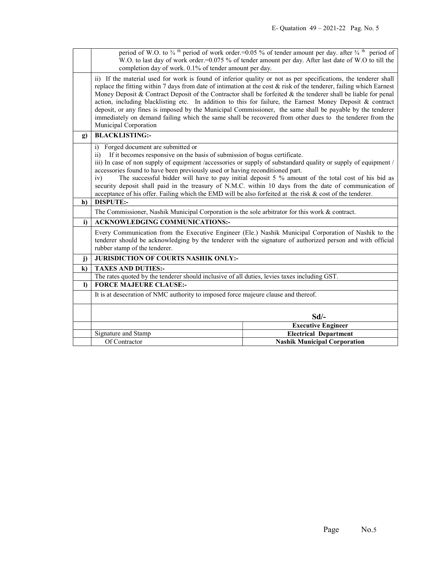|              | period of W.O. to $\frac{3}{4}$ <sup>th</sup> period of work order.=0.05 % of tender amount per day. after $\frac{3}{4}$ <sup>th</sup> period of<br>W.O. to last day of work order.=0.075 % of tender amount per day. After last date of W.O to till the                                                                                                                                                                                                                                                                                                                                                                                                                                                                   |                                                           |  |
|--------------|----------------------------------------------------------------------------------------------------------------------------------------------------------------------------------------------------------------------------------------------------------------------------------------------------------------------------------------------------------------------------------------------------------------------------------------------------------------------------------------------------------------------------------------------------------------------------------------------------------------------------------------------------------------------------------------------------------------------------|-----------------------------------------------------------|--|
|              | completion day of work. 0.1% of tender amount per day.                                                                                                                                                                                                                                                                                                                                                                                                                                                                                                                                                                                                                                                                     |                                                           |  |
|              | ii) If the material used for work is found of inferior quality or not as per specifications, the tenderer shall<br>replace the fitting within 7 days from date of intimation at the cost $\&$ risk of the tenderer, failing which Earnest<br>Money Deposit & Contract Deposit of the Contractor shall be forfeited & the tenderer shall be liable for penal<br>action, including blacklisting etc. In addition to this for failure, the Earnest Money Deposit & contract<br>deposit, or any fines is imposed by the Municipal Commissioner, the same shall be payable by the tenderer<br>immediately on demand failing which the same shall be recovered from other dues to the tenderer from the<br>Municipal Corporation |                                                           |  |
| $\mathbf{g}$ | <b>BLACKLISTING:-</b>                                                                                                                                                                                                                                                                                                                                                                                                                                                                                                                                                                                                                                                                                                      |                                                           |  |
| h)           | Forged document are submitted or<br>i)<br>If it becomes responsive on the basis of submission of bogus certificate.<br>$\overline{11}$<br>iii) In case of non supply of equipment /accessories or supply of substandard quality or supply of equipment /<br>accessories found to have been previously used or having reconditioned part.<br>The successful bidder will have to pay initial deposit 5 % amount of the total cost of his bid as<br>iv)<br>security deposit shall paid in the treasury of N.M.C. within 10 days from the date of communication of<br>acceptance of his offer. Failing which the EMD will be also forfeited at the risk & cost of the tenderer.<br><b>DISPUTE:-</b>                            |                                                           |  |
|              | The Commissioner, Nashik Municipal Corporation is the sole arbitrator for this work & contract.                                                                                                                                                                                                                                                                                                                                                                                                                                                                                                                                                                                                                            |                                                           |  |
| i)           | <b>ACKNOWLEDGING COMMUNICATIONS:-</b>                                                                                                                                                                                                                                                                                                                                                                                                                                                                                                                                                                                                                                                                                      |                                                           |  |
|              | Every Communication from the Executive Engineer (Ele.) Nashik Municipal Corporation of Nashik to the<br>tenderer should be acknowledging by the tenderer with the signature of authorized person and with official<br>rubber stamp of the tenderer.                                                                                                                                                                                                                                                                                                                                                                                                                                                                        |                                                           |  |
| $\mathbf{j}$ | <b>JURISDICTION OF COURTS NASHIK ONLY:-</b>                                                                                                                                                                                                                                                                                                                                                                                                                                                                                                                                                                                                                                                                                |                                                           |  |
| $\bf k$      | <b>TAXES AND DUTIES:-</b>                                                                                                                                                                                                                                                                                                                                                                                                                                                                                                                                                                                                                                                                                                  |                                                           |  |
|              | The rates quoted by the tenderer should inclusive of all duties, levies taxes including GST.                                                                                                                                                                                                                                                                                                                                                                                                                                                                                                                                                                                                                               |                                                           |  |
| $\bf{D}$     | <b>FORCE MAJEURE CLAUSE:-</b>                                                                                                                                                                                                                                                                                                                                                                                                                                                                                                                                                                                                                                                                                              |                                                           |  |
|              | It is at desecration of NMC authority to imposed force majeure clause and thereof.                                                                                                                                                                                                                                                                                                                                                                                                                                                                                                                                                                                                                                         |                                                           |  |
|              | $Sd$ .                                                                                                                                                                                                                                                                                                                                                                                                                                                                                                                                                                                                                                                                                                                     |                                                           |  |
|              | Signature and Stamp                                                                                                                                                                                                                                                                                                                                                                                                                                                                                                                                                                                                                                                                                                        | <b>Executive Engineer</b><br><b>Electrical Department</b> |  |
|              | Of Contractor                                                                                                                                                                                                                                                                                                                                                                                                                                                                                                                                                                                                                                                                                                              | <b>Nashik Municipal Corporation</b>                       |  |
|              |                                                                                                                                                                                                                                                                                                                                                                                                                                                                                                                                                                                                                                                                                                                            |                                                           |  |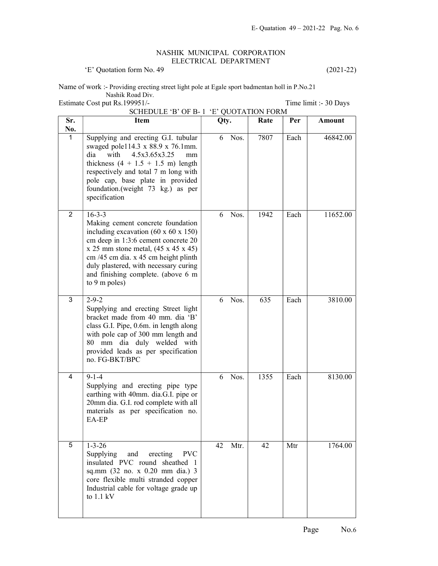## NASHIK MUNICIPAL CORPORATION ELECTRICAL DEPARTMENT

'E' Quotation form No. 49 (2021-22)

Name of work :- Providing erecting street light pole at Egale sport badmentan holl in P.No.21 Nashik Road Div. Estimate Cost put Rs.199951/-<br>
Time limit :- 30 Days

|                | SCHEDULE 'B' OF B-1 'E' QUOTATION FORM                                                                                                                                                                                                                                                                                                     |            |      |      |          |
|----------------|--------------------------------------------------------------------------------------------------------------------------------------------------------------------------------------------------------------------------------------------------------------------------------------------------------------------------------------------|------------|------|------|----------|
| Sr.<br>No.     | <b>Item</b>                                                                                                                                                                                                                                                                                                                                | Qty.       | Rate | Per  | Amount   |
| 1              | Supplying and erecting G.I. tubular<br>swaged pole114.3 x 88.9 x 76.1mm.<br>with<br>4.5x3.65x3.25<br>dia<br>mm<br>thickness $(4 + 1.5 + 1.5 \text{ m})$ length<br>respectively and total 7 m long with<br>pole cap, base plate in provided<br>foundation.(weight 73 kg.) as per<br>specification                                           | Nos.<br>6  | 7807 | Each | 46842.00 |
| $\overline{2}$ | $16 - 3 - 3$<br>Making cement concrete foundation<br>including excavation $(60 \times 60 \times 150)$<br>cm deep in 1:3:6 cement concrete 20<br>$x 25$ mm stone metal, $(45 x 45 x 45)$<br>cm /45 cm dia. x 45 cm height plinth<br>duly plastered, with necessary curing<br>and finishing complete. (above 6 m<br>to $9 \text{ m poles}$ ) | Nos.<br>6  | 1942 | Each | 11652.00 |
| 3              | $2 - 9 - 2$<br>Supplying and erecting Street light<br>bracket made from 40 mm. dia 'B'<br>class G.I. Pipe, 0.6m. in length along<br>with pole cap of 300 mm length and<br>80 mm dia duly welded with<br>provided leads as per specification<br>no. FG-BKT/BPC                                                                              | Nos.<br>6  | 635  | Each | 3810.00  |
| $\overline{4}$ | $9 - 1 - 4$<br>Supplying and erecting pipe type<br>earthing with 40mm. dia.G.I. pipe or<br>20mm dia. G.I. rod complete with all<br>materials as per specification no.<br>EA-EP                                                                                                                                                             | Nos.<br>6  | 1355 | Each | 8130.00  |
| 5              | $1 - 3 - 26$<br>Supplying<br><b>PVC</b><br>and<br>erecting<br>insulated PVC round sheathed 1<br>sq.mm (32 no. x 0.20 mm dia.) 3<br>core flexible multi stranded copper<br>Industrial cable for voltage grade up<br>to $1.1 \text{ kV}$                                                                                                     | 42<br>Mtr. | 42   | Mtr  | 1764.00  |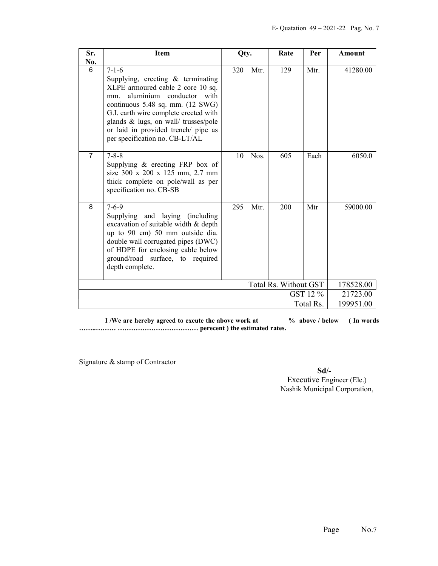| Sr.            | <b>Item</b>                                                                                                                                                                                                                                                                                                            | Qty. |      | Rate                  | Per       | Amount    |
|----------------|------------------------------------------------------------------------------------------------------------------------------------------------------------------------------------------------------------------------------------------------------------------------------------------------------------------------|------|------|-----------------------|-----------|-----------|
| No.            |                                                                                                                                                                                                                                                                                                                        |      |      |                       |           |           |
| 6              | $7 - 1 - 6$<br>Supplying, erecting & terminating<br>XLPE armoured cable 2 core 10 sq.<br>aluminium conductor with<br>mm.<br>continuous 5.48 sq. mm. (12 SWG)<br>G.I. earth wire complete erected with<br>glands & lugs, on wall/ trusses/pole<br>or laid in provided trench/ pipe as<br>per specification no. CB-LT/AL | 320  | Mtr. | 129                   | Mtr.      | 41280.00  |
| $\overline{7}$ | $7 - 8 - 8$<br>Supplying $\&$ erecting FRP box of<br>size 300 x 200 x 125 mm, 2.7 mm<br>thick complete on pole/wall as per<br>specification no. CB-SB                                                                                                                                                                  | 10   | Nos. | 605                   | Each      | 6050.0    |
| 8              | $7 - 6 - 9$<br>Supplying and laying (including<br>excavation of suitable width & depth<br>up to 90 cm) 50 mm outside dia.<br>double wall corrugated pipes (DWC)<br>of HDPE for enclosing cable below<br>ground/road surface, to required<br>depth complete.                                                            | 295  | Mtr. | 200                   | Mtr       | 59000.00  |
|                |                                                                                                                                                                                                                                                                                                                        |      |      | Total Rs. Without GST |           | 178528.00 |
|                |                                                                                                                                                                                                                                                                                                                        |      |      |                       | GST 12 %  | 21723.00  |
|                |                                                                                                                                                                                                                                                                                                                        |      |      |                       | Total Rs. | 199951.00 |

I /We are hereby agreed to exeute the above work at  $\%$  above / below (In words) ……..……… ……………………………… perecent ) the estimated rates.

Signature & stamp of Contractor

Sd/- Executive Engineer (Ele.) Nashik Municipal Corporation,